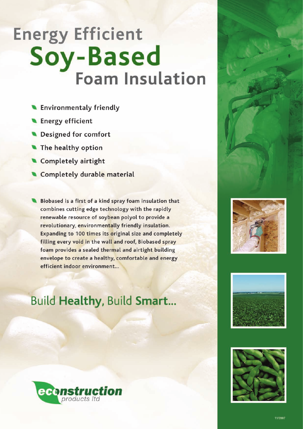# **Energy Efficient** Soy-Based **Foam Insulation**

- **Let Environmentaly friendly**
- **Energy efficient**
- Designed for comfort
- The healthy option
- Completely airtight
- Completely durable material
- Biobased is a first of a kind spray foam insulation that combines cutting edge technology with the rapidly renewable resource of soybean polyol to provide a revolutionary, environmentally friendly insulation. Expanding to 100 times its original size and completely filling every void in the wall and roof, Biobased spray foam provides a sealed thermal and airtight building envelope to create a healthy, comfortable and energy efficient indoor environment...

## Build Healthy, Build Smart...